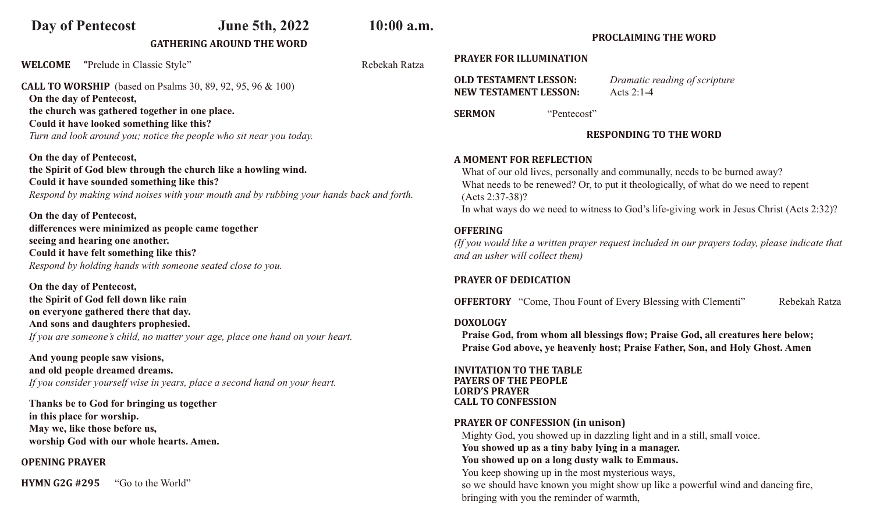# **Day of Pentecost June 5th, 2022 10:00 a.m.**

## **GATHERING AROUND THE WORD**

**WELCOME** "Prelude in Classic Style" Rebekah Ratza

**CALL TO WORSHIP** (based on Psalms 30, 89, 92, 95, 96 & 100) **On the day of Pentecost, the church was gathered together in one place. Could it have looked something like this?**  *Turn and look around you; notice the people who sit near you today.* 

**On the day of Pentecost, the Spirit of God blew through the church like a howling wind. Could it have sounded something like this?**  *Respond by making wind noises with your mouth and by rubbing your hands back and forth.*

**On the day of Pentecost, differences were minimized as people came together seeing and hearing one another. Could it have felt something like this?** *Respond by holding hands with someone seated close to you.* 

**On the day of Pentecost, the Spirit of God fell down like rain**

**on everyone gathered there that day. And sons and daughters prophesied.**  *If you are someone's child, no matter your age, place one hand on your heart.*

**And young people saw visions, and old people dreamed dreams.**  *If you consider yourself wise in years, place a second hand on your heart.* 

**Thanks be to God for bringing us together in this place for worship. May we, like those before us, worship God with our whole hearts. Amen.** 

**OPENING PRAYER**

**HYMN G2G #295** "Go to the World"

**PRAYER FOR ILLUMINATION**

**OLD TESTAMENT LESSON:** *Dramatic reading of scripture* **NEW TESTAMENT LESSON:** Acts 2:1-4

**SERMON** "Pentecost"

## **RESPONDING TO THE WORD**

**PROCLAIMING THE WORD**

### **A MOMENT FOR REFLECTION**

What of our old lives, personally and communally, needs to be burned away? What needs to be renewed? Or, to put it theologically, of what do we need to repent (Acts 2:37-38)? In what ways do we need to witness to God's life-giving work in Jesus Christ (Acts 2:32)?

## **OFFERING**

*(If you would like a written prayer request included in our prayers today, please indicate that and an usher will collect them)*

## **PRAYER OF DEDICATION**

**OFFERTORY** "Come, Thou Fount of Every Blessing with Clementi" Rebekah Ratza

### **DOXOLOGY**

 **Praise God, from whom all blessings flow; Praise God, all creatures here below; Praise God above, ye heavenly host; Praise Father, Son, and Holy Ghost. Amen**

**INVITATION TO THE TABLE PAYERS OF THE PEOPLE LORD'S PRAYER CALL TO CONFESSION**

## **PRAYER OF CONFESSION (in unison)**

Mighty God, you showed up in dazzling light and in a still, small voice. **You showed up as a tiny baby lying in a manager. You showed up on a long dusty walk to Emmaus.** You keep showing up in the most mysterious ways, so we should have known you might show up like a powerful wind and dancing fire, bringing with you the reminder of warmth,